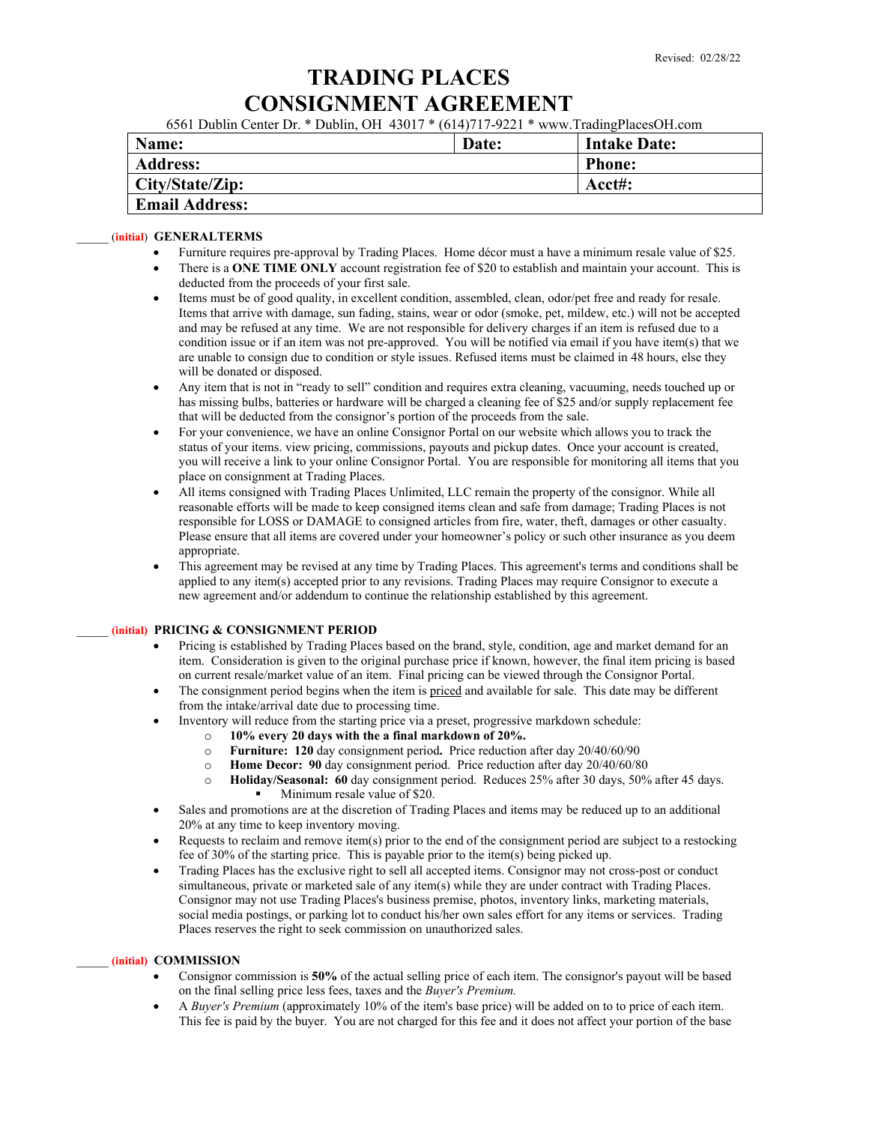# **TRADING PLACES CONSIGNMENT AGREEMENT**

6561 Dublin Center Dr. \* Dublin, OH 43017 \* (614)717-9221 \* www.TradingPlacesOH.com

| Name:                 | Date: | <b>Intake Date:</b> |
|-----------------------|-------|---------------------|
| <b>Address:</b>       |       | <b>Phone:</b>       |
| City/State/Zip:       |       | Acct#:              |
| <b>Email Address:</b> |       |                     |

#### \_\_\_\_\_ (**initial**) **GENERALTERMS**

- Furniture requires pre-approval by Trading Places. Home décor must a have a minimum resale value of \$25.
- There is a **ONE TIME ONLY** account registration fee of \$20 to establish and maintain your account. This is deducted from the proceeds of your first sale.
- Items must be of good quality, in excellent condition, assembled, clean, odor/pet free and ready for resale. Items that arrive with damage, sun fading, stains, wear or odor (smoke, pet, mildew, etc.) will not be accepted and may be refused at any time. We are not responsible for delivery charges if an item is refused due to a condition issue or if an item was not pre-approved. You will be notified via email if you have item(s) that we are unable to consign due to condition or style issues. Refused items must be claimed in 48 hours, else they will be donated or disposed.
- Any item that is not in "ready to sell" condition and requires extra cleaning, vacuuming, needs touched up or has missing bulbs, batteries or hardware will be charged a cleaning fee of \$25 and/or supply replacement fee that will be deducted from the consignor's portion of the proceeds from the sale.
- For your convenience, we have an online Consignor Portal on our website which allows you to track the status of your items. view pricing, commissions, payouts and pickup dates. Once your account is created, you will receive a link to your online Consignor Portal. You are responsible for monitoring all items that you place on consignment at Trading Places.
- All items consigned with Trading Places Unlimited, LLC remain the property of the consignor. While all reasonable efforts will be made to keep consigned items clean and safe from damage; Trading Places is not responsible for LOSS or DAMAGE to consigned articles from fire, water, theft, damages or other casualty. Please ensure that all items are covered under your homeowner's policy or such other insurance as you deem appropriate.
- This agreement may be revised at any time by Trading Places. This agreement's terms and conditions shall be applied to any item(s) accepted prior to any revisions. Trading Places may require Consignor to execute a new agreement and/or addendum to continue the relationship established by this agreement.

#### \_\_\_\_\_ **(initial) PRICING & CONSIGNMENT PERIOD**

- Pricing is established by Trading Places based on the brand, style, condition, age and market demand for an item. Consideration is given to the original purchase price if known, however, the final item pricing is based on current resale/market value of an item. Final pricing can be viewed through the Consignor Portal.
- The consignment period begins when the item is priced and available for sale. This date may be different from the intake/arrival date due to processing time.
- Inventory will reduce from the starting price via a preset, progressive markdown schedule:
	- o **10% every 20 days with the a final markdown of 20%.**
	- o **Furniture: 120** day consignment period**.** Price reduction after day 20/40/60/90
	- o **Home Decor: 90** day consignment period.Price reduction after day 20/40/60/80
	- o **Holiday/Seasonal: 60** day consignment period. Reduces 25% after 30 days, 50% after 45 days. Minimum resale value of \$20.
- Sales and promotions are at the discretion of Trading Places and items may be reduced up to an additional 20% at any time to keep inventory moving.
- Requests to reclaim and remove item(s) prior to the end of the consignment period are subject to a restocking fee of 30% of the starting price. This is payable prior to the item(s) being picked up.
- Trading Places has the exclusive right to sell all accepted items. Consignor may not cross-post or conduct simultaneous, private or marketed sale of any item(s) while they are under contract with Trading Places. Consignor may not use Trading Places's business premise, photos, inventory links, marketing materials, social media postings, or parking lot to conduct his/her own sales effort for any items or services. Trading Places reserves the right to seek commission on unauthorized sales.

#### \_\_\_\_\_ **(initial) COMMISSION**

- Consignor commission is **50%** of the actual selling price of each item. The consignor's payout will be based on the final selling price less fees, taxes and the *Buyer's Premium.*
- A *Buyer's Premium* (approximately 10% of the item's base price) will be added on to to price of each item. This fee is paid by the buyer. You are not charged for this fee and it does not affect your portion of the base